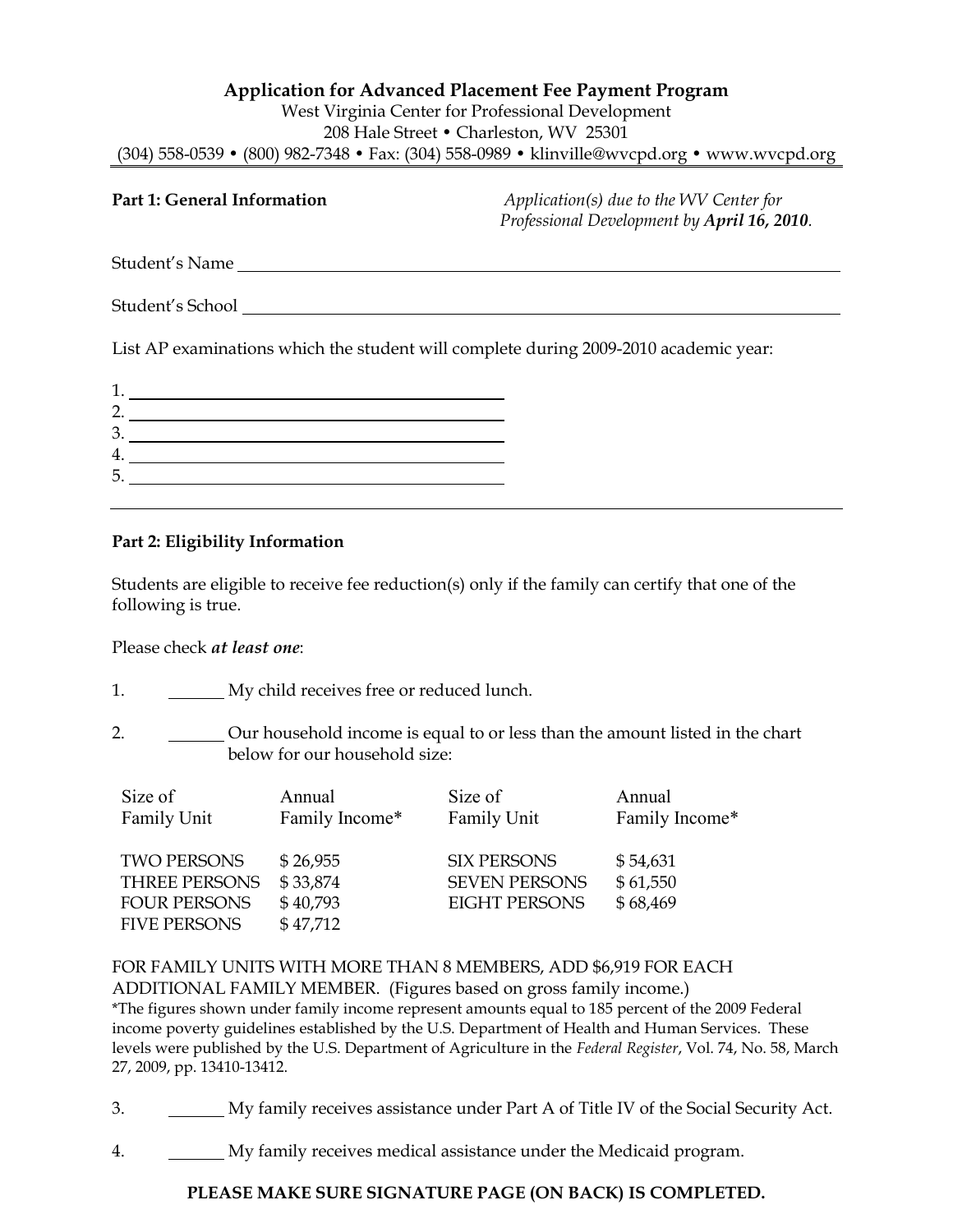## **Application for Advanced Placement Fee Payment Program** West Virginia Center for Professional Development 208 Hale Street • Charleston, WV 25301 (304) 558-0539 • (800) 982-7348 • Fax: (304) 558-0989 • [klinville@wvcpd.org](mailto:klinville@wvcpd.org) • [www.wvcpd.org](http://www.wvcpd.org/)

| Part 1: General Information                                                          | $Application(s)$ due to the WV Center for<br>Professional Development by April 16, 2010. |
|--------------------------------------------------------------------------------------|------------------------------------------------------------------------------------------|
| Student's Name                                                                       |                                                                                          |
| Student's School                                                                     |                                                                                          |
| List AP examinations which the student will complete during 2009-2010 academic year: |                                                                                          |
|                                                                                      |                                                                                          |

| 3. |  |
|----|--|
|    |  |
| 5. |  |
|    |  |

# **Part 2: Eligibility Information**

Students are eligible to receive fee reduction(s) only if the family can certify that one of the following is true.

Please check *at least one*:

- 1. My child receives free or reduced lunch.
- 2. Our household income is equal to or less than the amount listed in the chart below for our household size:

| Size of                                                                                  | Annual                                       | Size of                                                            | Annual                           |
|------------------------------------------------------------------------------------------|----------------------------------------------|--------------------------------------------------------------------|----------------------------------|
| Family Unit                                                                              | Family Income*                               | Family Unit                                                        | Family Income*                   |
| <b>TWO PERSONS</b><br><b>THREE PERSONS</b><br><b>FOUR PERSONS</b><br><b>FIVE PERSONS</b> | \$26,955<br>\$33,874<br>\$40,793<br>\$47,712 | <b>SIX PERSONS</b><br><b>SEVEN PERSONS</b><br><b>EIGHT PERSONS</b> | \$54,631<br>\$61,550<br>\$68,469 |

FOR FAMILY UNITS WITH MORE THAN 8 MEMBERS, ADD \$6,919 FOR EACH ADDITIONAL FAMILY MEMBER. (Figures based on gross family income.) \*The figures shown under family income represent amounts equal to 185 percent of the 2009 Federal income poverty guidelines established by the U.S. Department of Health and Human Services. These levels were published by the U.S. Department of Agriculture in the *Federal Register*, Vol. 74, No. 58, March 27, 2009, pp. 13410-13412.

3. My family receives assistance under Part A of Title IV of the Social Security Act.

4. My family receives medical assistance under the Medicaid program.

# **PLEASE MAKE SURE SIGNATURE PAGE (ON BACK) IS COMPLETED.**